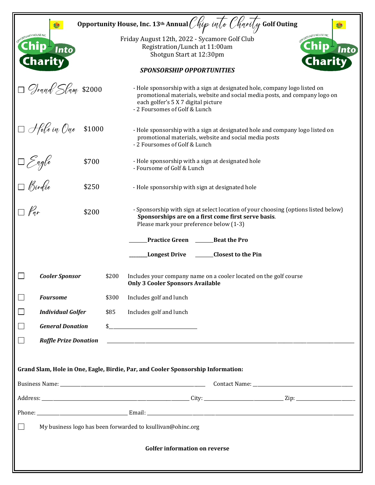|                                                                                        | Opportunity House, Inc. 13 <sup>th</sup> Annual <i>Chip into Charity</i> Golf Outing                                                                                                                                            |  |
|----------------------------------------------------------------------------------------|---------------------------------------------------------------------------------------------------------------------------------------------------------------------------------------------------------------------------------|--|
| <b>UTY HOUSE INC.</b><br>Into)<br><b>Charity</b>                                       | Friday August 12th, 2022 - Sycamore Golf Club<br>Registration/Lunch at 11:00am<br>Into<br>Shotgun Start at 12:30pm<br>Charity                                                                                                   |  |
|                                                                                        | <b>SPONSORSHIP OPPORTUNITIES</b>                                                                                                                                                                                                |  |
| Grand Slam \$2000                                                                      | - Hole sponsorship with a sign at designated hole, company logo listed on<br>promotional materials, website and social media posts, and company logo on<br>each golfer's 5 X 7 digital picture<br>- 2 Foursomes of Golf & Lunch |  |
| $\Box$ Hole in One<br>\$1000                                                           | - Hole sponsorship with a sign at designated hole and company logo listed on<br>promotional materials, website and social media posts<br>- 2 Foursomes of Golf & Lunch                                                          |  |
| \$700                                                                                  | - Hole sponsorship with a sign at designated hole<br>- Foursome of Golf & Lunch                                                                                                                                                 |  |
| Sagle<br>  Sirdie<br> <br>\$250                                                        | - Hole sponsorship with sign at designated hole                                                                                                                                                                                 |  |
| \$200                                                                                  | - Sponsorship with sign at select location of your choosing (options listed below)<br>Sponsorships are on a first come first serve basis.<br>Please mark your preference below (1-3)                                            |  |
|                                                                                        | <b>Practice Green</b><br><b>Beat the Pro</b>                                                                                                                                                                                    |  |
|                                                                                        | <b>Closest to the Pin</b><br><b>Longest Drive</b>                                                                                                                                                                               |  |
| <b>Cooler Sponsor</b>                                                                  | \$200<br>Includes your company name on a cooler located on the golf course<br><b>Only 3 Cooler Sponsors Available</b>                                                                                                           |  |
| <b>Foursome</b>                                                                        | \$300<br>Includes golf and lunch                                                                                                                                                                                                |  |
| <b>Individual Golfer</b>                                                               | \$85<br>Includes golf and lunch                                                                                                                                                                                                 |  |
| <b>General Donation</b>                                                                |                                                                                                                                                                                                                                 |  |
| <b>Raffle Prize Donation</b>                                                           | <u> 1980 - Johann John Stein, markin fyrstu og fyrstu og fyrir og fyrir og fyrir og fyrir og fyrir og fyrir og f</u>                                                                                                            |  |
|                                                                                        |                                                                                                                                                                                                                                 |  |
|                                                                                        | Grand Slam, Hole in One, Eagle, Birdie, Par, and Cooler Sponsorship Information:                                                                                                                                                |  |
|                                                                                        |                                                                                                                                                                                                                                 |  |
|                                                                                        |                                                                                                                                                                                                                                 |  |
|                                                                                        |                                                                                                                                                                                                                                 |  |
| $\overline{\phantom{0}}$<br>My business logo has been forwarded to ksullivan@ohinc.org |                                                                                                                                                                                                                                 |  |
| <b>Golfer information on reverse</b>                                                   |                                                                                                                                                                                                                                 |  |